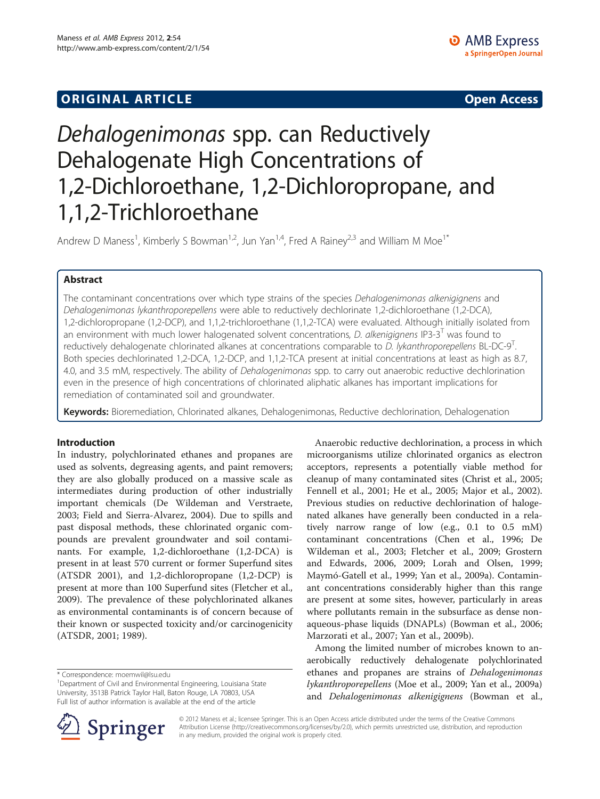# Dehalogenimonas spp. can Reductively Dehalogenate High Concentrations of 1,2-Dichloroethane, 1,2-Dichloropropane, and 1,1,2-Trichloroethane

Andrew D Maness<sup>1</sup>, Kimberly S Bowman<sup>1,2</sup>, Jun Yan<sup>1,4</sup>, Fred A Rainey<sup>2,3</sup> and William M Moe<sup>1\*</sup>

# Abstract

The contaminant concentrations over which type strains of the species Dehalogenimonas alkenigignens and Dehalogenimonas lykanthroporepellens were able to reductively dechlorinate 1,2-dichloroethane (1,2-DCA), 1,2-dichloropropane (1,2-DCP), and 1,1,2-trichloroethane (1,1,2-TCA) were evaluated. Although initially isolated from an environment with much lower halogenated solvent concentrations, *D. alkenigignens* IP3-3<sup>1</sup> was found to reductively dehalogenate chlorinated alkanes at concentrations comparable to D. lykanthroporepellens BL-DC-9'. Both species dechlorinated 1,2-DCA, 1,2-DCP, and 1,1,2-TCA present at initial concentrations at least as high as 8.7, 4.0, and 3.5 mM, respectively. The ability of *Dehalogenimonas* spp. to carry out anaerobic reductive dechlorination even in the presence of high concentrations of chlorinated aliphatic alkanes has important implications for remediation of contaminated soil and groundwater.

Keywords: Bioremediation, Chlorinated alkanes, Dehalogenimonas, Reductive dechlorination, Dehalogenation

# Introduction

In industry, polychlorinated ethanes and propanes are used as solvents, degreasing agents, and paint removers; they are also globally produced on a massive scale as intermediates during production of other industrially important chemicals [\(De Wildeman and Verstraete,](#page-5-0) [2003](#page-5-0); [Field and Sierra-Alvarez, 2004](#page-5-0)). Due to spills and past disposal methods, these chlorinated organic compounds are prevalent groundwater and soil contaminants. For example, 1,2-dichloroethane (1,2-DCA) is present in at least 570 current or former Superfund sites [\(ATSDR 2001](#page-5-0)), and 1,2-dichloropropane (1,2-DCP) is present at more than 100 Superfund sites ([Fletcher et al.,](#page-5-0) [2009](#page-5-0)). The prevalence of these polychlorinated alkanes as environmental contaminants is of concern because of their known or suspected toxicity and/or carcinogenicity ([ATSDR, 2001; 1989\)](#page-5-0).

Anaerobic reductive dechlorination, a process in which microorganisms utilize chlorinated organics as electron acceptors, represents a potentially viable method for cleanup of many contaminated sites ([Christ et al., 2005](#page-5-0); [Fennell et al., 2001; He et al., 2005; Major et al., 2002](#page-5-0)). Previous studies on reductive dechlorination of halogenated alkanes have generally been conducted in a relatively narrow range of low (e.g., 0.1 to 0.5 mM) contaminant concentrations ([Chen et al., 1996](#page-5-0); [De](#page-5-0) [Wildeman et al., 2003; Fletcher et al., 2009; Grostern](#page-5-0) [and Edwards, 2006](#page-5-0), [2009](#page-5-0); [Lorah and Olsen, 1999](#page-5-0); [Maymó-Gatell et al., 1999](#page-5-0); [Yan et al., 2009a\)](#page-6-0). Contaminant concentrations considerably higher than this range are present at some sites, however, particularly in areas where pollutants remain in the subsurface as dense nonaqueous-phase liquids (DNAPLs) [\(Bowman et al., 2006](#page-5-0); [Marzorati et al., 2007](#page-5-0); [Yan et al., 2009b](#page-6-0)).

Among the limited number of microbes known to anaerobically reductively dehalogenate polychlorinated ethanes and propanes are strains of Dehalogenimonas lykanthroporepellens [\(Moe et al., 2009;](#page-5-0) [Yan et al., 2009a](#page-6-0)) and Dehalogenimonas alkenigignens ([Bowman et al.,](#page-5-0)



© 2012 Maness et al.; licensee Springer. This is an Open Access article distributed under the terms of the Creative Commons Attribution License [\(http://creativecommons.org/licenses/by/2.0\)](http://www.atsdr.cdc.gov/tfacts38.pdf), which permits unrestricted use, distribution, and reproduction in any medium, provided the original work is properly cited.

<sup>\*</sup> Correspondence: [moemwil@lsu.edu](mailto:moemwil@lsu.edu) <sup>1</sup>

<sup>&</sup>lt;sup>1</sup>Department of Civil and Environmental Engineering, Louisiana State University, 3513B Patrick Taylor Hall, Baton Rouge, LA 70803, USA Full list of author information is available at the end of the article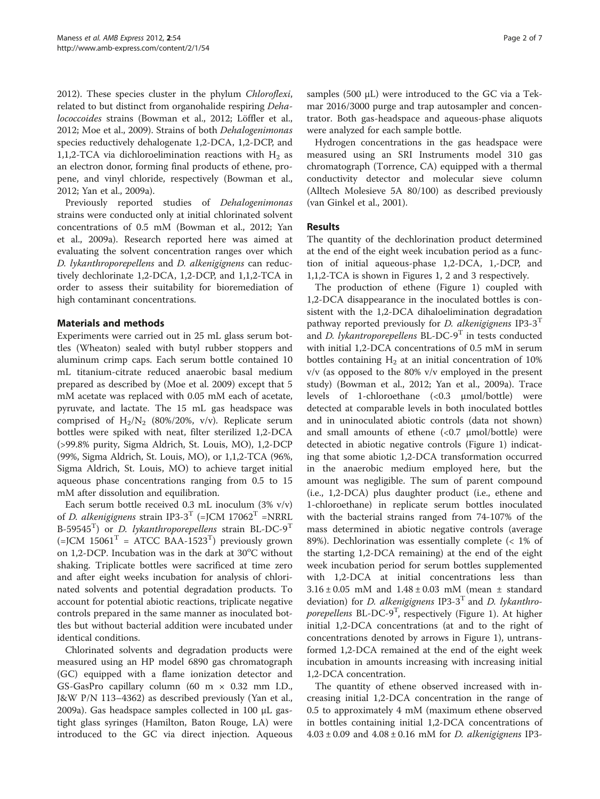[2012](#page-5-0)). These species cluster in the phylum Chloroflexi, related to but distinct from organohalide respiring Dehalococcoides strains [\(Bowman et al., 2012; Löffler et al.,](#page-5-0) [2012](#page-5-0); [Moe et al., 2009\)](#page-5-0). Strains of both Dehalogenimonas species reductively dehalogenate 1,2-DCA, 1,2-DCP, and 1,1,2-TCA via dichloroelimination reactions with  $H_2$  as an electron donor, forming final products of ethene, propene, and vinyl chloride, respectively [\(Bowman et al.,](#page-5-0) [2012](#page-5-0); [Yan et al., 2009a](#page-6-0)).

Previously reported studies of Dehalogenimonas strains were conducted only at initial chlorinated solvent concentrations of 0.5 mM [\(Bowman et al., 2012;](#page-5-0) [Yan](#page-6-0) [et al., 2009a\)](#page-6-0). Research reported here was aimed at evaluating the solvent concentration ranges over which D. lykanthroporepellens and D. alkenigignens can reductively dechlorinate 1,2-DCA, 1,2-DCP, and 1,1,2-TCA in order to assess their suitability for bioremediation of high contaminant concentrations.

## Materials and methods

Experiments were carried out in 25 mL glass serum bottles (Wheaton) sealed with butyl rubber stoppers and aluminum crimp caps. Each serum bottle contained 10 mL titanium-citrate reduced anaerobic basal medium prepared as described by ([Moe et al. 2009](#page-5-0)) except that 5 mM acetate was replaced with 0.05 mM each of acetate, pyruvate, and lactate. The 15 mL gas headspace was comprised of  $H_2/N_2$  (80%/20%, v/v). Replicate serum bottles were spiked with neat, filter sterilized 1,2-DCA (>99.8% purity, Sigma Aldrich, St. Louis, MO), 1,2-DCP (99%, Sigma Aldrich, St. Louis, MO), or 1,1,2-TCA (96%, Sigma Aldrich, St. Louis, MO) to achieve target initial aqueous phase concentrations ranging from 0.5 to 15 mM after dissolution and equilibration.

Each serum bottle received 0.3 mL inoculum (3% v/v) of D. alkenigignens strain IP3-3<sup>T</sup> (=JCM 17062<sup>T</sup> =NRRL B-59545<sup>T</sup>) or *D. lykanthroporepellens* strain BL-DC-9<sup>T</sup>  $(=)$ CM 15061<sup>T</sup> = ATCC BAA-1523<sup>T</sup>) previously grown on 1,2-DCP. Incubation was in the dark at  $30^{\circ}$ C without shaking. Triplicate bottles were sacrificed at time zero and after eight weeks incubation for analysis of chlorinated solvents and potential degradation products. To account for potential abiotic reactions, triplicate negative controls prepared in the same manner as inoculated bottles but without bacterial addition were incubated under identical conditions.

Chlorinated solvents and degradation products were measured using an HP model 6890 gas chromatograph (GC) equipped with a flame ionization detector and GS-GasPro capillary column (60 m × 0.32 mm I.D., J&W P/N 113–4362) as described previously [\(Yan et al.,](#page-6-0) [2009a\)](#page-6-0). Gas headspace samples collected in 100 μL gastight glass syringes (Hamilton, Baton Rouge, LA) were introduced to the GC via direct injection. Aqueous

samples (500 μL) were introduced to the GC via a Tekmar 2016/3000 purge and trap autosampler and concentrator. Both gas-headspace and aqueous-phase aliquots were analyzed for each sample bottle.

Hydrogen concentrations in the gas headspace were measured using an SRI Instruments model 310 gas chromatograph (Torrence, CA) equipped with a thermal conductivity detector and molecular sieve column (Alltech Molesieve 5A 80/100) as described previously ([van Ginkel et al., 2001\)](#page-6-0).

## Results

The quantity of the dechlorination product determined at the end of the eight week incubation period as a function of initial aqueous-phase 1,2-DCA, 1,-DCP, and 1,1,2-TCA is shown in Figures [1](#page-2-0), [2](#page-2-0) and [3](#page-3-0) respectively.

The production of ethene (Figure [1](#page-2-0)) coupled with 1,2-DCA disappearance in the inoculated bottles is consistent with the 1,2-DCA dihaloelimination degradation pathway reported previously for *D. alkenigignens* IP3-3<sup>T</sup> and D. lykantroporepellens  $BL-DC-9^T$  in tests conducted with initial 1,2-DCA concentrations of 0.5 mM in serum bottles containing  $H_2$  at an initial concentration of 10% v/v (as opposed to the 80% v/v employed in the present study) ([Bowman et al., 2012](#page-5-0); [Yan et al., 2009a](#page-6-0)). Trace levels of 1-chloroethane (<0.3 μmol/bottle) were detected at comparable levels in both inoculated bottles and in uninoculated abiotic controls (data not shown) and small amounts of ethene  $\langle$ <0.7  $\mu$ mol/bottle) were detected in abiotic negative controls (Figure [1](#page-2-0)) indicating that some abiotic 1,2-DCA transformation occurred in the anaerobic medium employed here, but the amount was negligible. The sum of parent compound (i.e., 1,2-DCA) plus daughter product (i.e., ethene and 1-chloroethane) in replicate serum bottles inoculated with the bacterial strains ranged from 74-107% of the mass determined in abiotic negative controls (average 89%). Dechlorination was essentially complete (< 1% of the starting 1,2-DCA remaining) at the end of the eight week incubation period for serum bottles supplemented with 1,2-DCA at initial concentrations less than 3.16 ± 0.05 mM and 1.48 ± 0.03 mM (mean ± standard deviation) for *D. alkenigignens* IP3-3<sup>T</sup> and *D. lykanthro-*porepellens BL-DC-9<sup>T</sup>, respectively (Figure [1\)](#page-2-0). At higher initial 1,2-DCA concentrations (at and to the right of concentrations denoted by arrows in Figure [1\)](#page-2-0), untransformed 1,2-DCA remained at the end of the eight week incubation in amounts increasing with increasing initial 1,2-DCA concentration.

The quantity of ethene observed increased with increasing initial 1,2-DCA concentration in the range of 0.5 to approximately 4 mM (maximum ethene observed in bottles containing initial 1,2-DCA concentrations of  $4.03 \pm 0.09$  and  $4.08 \pm 0.16$  mM for *D. alkenigignens* IP3-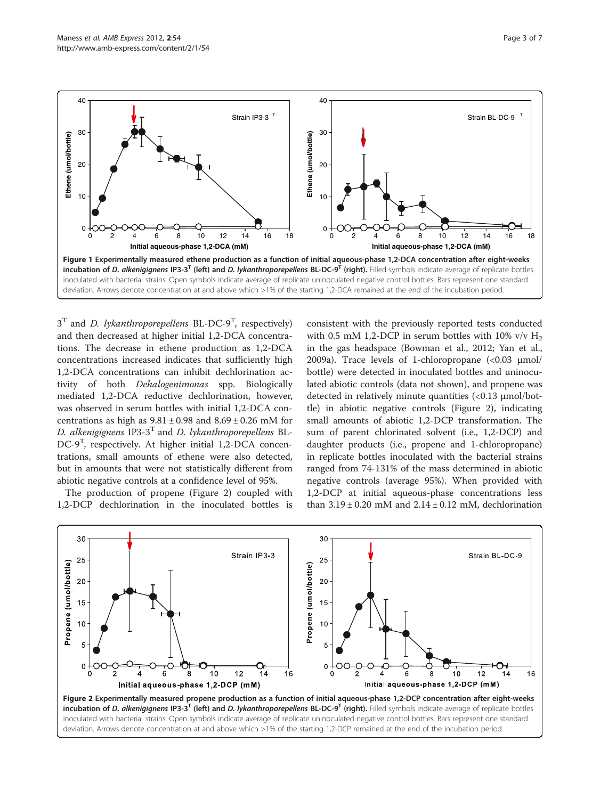$3<sup>T</sup>$  and *D. lykanthroporepellens* BL-DC-9<sup>T</sup>, respectively) and then decreased at higher initial 1,2-DCA concentrations. The decrease in ethene production as 1,2-DCA concentrations increased indicates that sufficiently high 1,2-DCA concentrations can inhibit dechlorination activity of both Dehalogenimonas spp. Biologically mediated 1,2-DCA reductive dechlorination, however, was observed in serum bottles with initial 1,2-DCA concentrations as high as  $9.81 \pm 0.98$  and  $8.69 \pm 0.26$  mM for D. alkenigignens IP3-3<sup>T</sup> and D. lykanthroporepellens BL-DC-9<sup>T</sup>, respectively. At higher initial 1,2-DCA concentrations, small amounts of ethene were also detected, but in amounts that were not statistically different from abiotic negative controls at a confidence level of 95%.

The production of propene (Figure 2) coupled with 1,2-DCP dechlorination in the inoculated bottles is

consistent with the previously reported tests conducted with 0.5 mM 1,2-DCP in serum bottles with 10% v/v  $H_2$ in the gas headspace [\(Bowman et al., 2012;](#page-5-0) [Yan et al.,](#page-6-0) [2009a\)](#page-6-0). Trace levels of 1-chloropropane (<0.03 μmol/ bottle) were detected in inoculated bottles and uninoculated abiotic controls (data not shown), and propene was detected in relatively minute quantities (<0.13 μmol/bottle) in abiotic negative controls (Figure 2), indicating small amounts of abiotic 1,2-DCP transformation. The sum of parent chlorinated solvent (i.e., 1,2-DCP) and daughter products (i.e., propene and 1-chloropropane) in replicate bottles inoculated with the bacterial strains ranged from 74-131% of the mass determined in abiotic negative controls (average 95%). When provided with 1,2-DCP at initial aqueous-phase concentrations less than  $3.19 \pm 0.20$  mM and  $2.14 \pm 0.12$  mM, dechlorination



<span id="page-2-0"></span>

40

40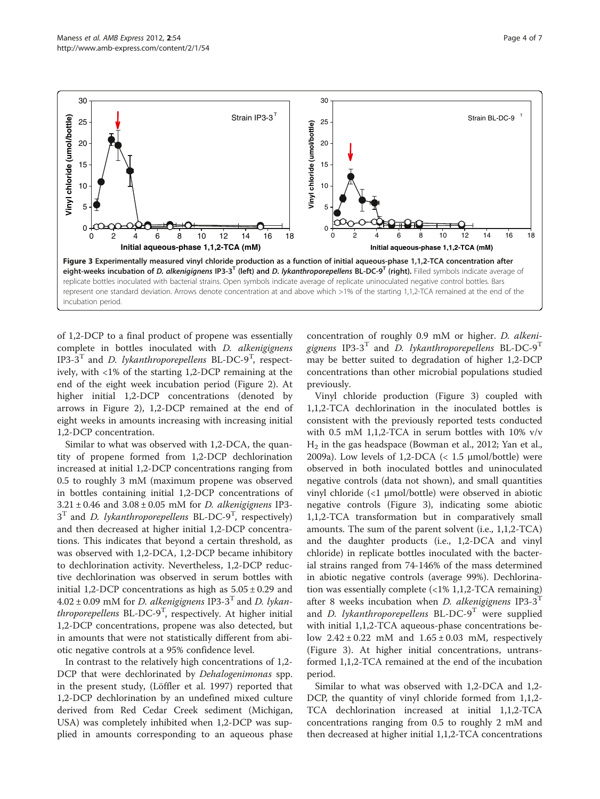<span id="page-3-0"></span>

of 1,2-DCP to a final product of propene was essentially complete in bottles inoculated with D. alkenigignens IP3-3<sup>T</sup> and *D. lykanthroporepellens* BL-DC-9<sup>T</sup>, respectively, with <1% of the starting 1,2-DCP remaining at the end of the eight week incubation period (Figure [2\)](#page-2-0). At higher initial 1,2-DCP concentrations (denoted by arrows in Figure [2](#page-2-0)), 1,2-DCP remained at the end of eight weeks in amounts increasing with increasing initial 1,2-DCP concentration.

Similar to what was observed with 1,2-DCA, the quantity of propene formed from 1,2-DCP dechlorination increased at initial 1,2-DCP concentrations ranging from 0.5 to roughly 3 mM (maximum propene was observed in bottles containing initial 1,2-DCP concentrations of  $3.21 \pm 0.46$  and  $3.08 \pm 0.05$  mM for *D. alkenigignens* IP3- $3<sup>T</sup>$  and *D. lykanthroporepellens* BL-DC-9<sup>T</sup>, respectively) and then decreased at higher initial 1,2-DCP concentrations. This indicates that beyond a certain threshold, as was observed with 1,2-DCA, 1,2-DCP became inhibitory to dechlorination activity. Nevertheless, 1,2-DCP reductive dechlorination was observed in serum bottles with initial 1,2-DCP concentrations as high as  $5.05 \pm 0.29$  and  $4.02 \pm 0.09$  mM for *D. alkenigignens* IP3-3<sup>T</sup> and *D. lykan*throporepellens BL-DC-9<sup>T</sup>, respectively. At higher initial 1,2-DCP concentrations, propene was also detected, but in amounts that were not statistically different from abiotic negative controls at a 95% confidence level.

In contrast to the relatively high concentrations of 1,2- DCP that were dechlorinated by *Dehalogenimonas* spp. in the present study, ([Löffler et al. 1997\)](#page-5-0) reported that 1,2-DCP dechlorination by an undefined mixed culture derived from Red Cedar Creek sediment (Michigan, USA) was completely inhibited when 1,2-DCP was supplied in amounts corresponding to an aqueous phase

concentration of roughly 0.9 mM or higher. D. alkenigignens IP3-3<sup>T</sup> and *D. lykanthroporepellens* BL-DC-9<sup>T</sup> may be better suited to degradation of higher 1,2-DCP concentrations than other microbial populations studied previously.

Vinyl chloride production (Figure 3) coupled with 1,1,2-TCA dechlorination in the inoculated bottles is consistent with the previously reported tests conducted with 0.5 mM 1,1,2-TCA in serum bottles with 10% v/v  $H<sub>2</sub>$  in the gas headspace ([Bowman et al., 2012](#page-5-0); [Yan et al.,](#page-6-0) [2009a\)](#page-6-0). Low levels of  $1,2$ -DCA (<  $1.5 \mu$ mol/bottle) were observed in both inoculated bottles and uninoculated negative controls (data not shown), and small quantities vinyl chloride (<1 μmol/bottle) were observed in abiotic negative controls (Figure 3), indicating some abiotic 1,1,2-TCA transformation but in comparatively small amounts. The sum of the parent solvent (i.e., 1,1,2-TCA) and the daughter products (i.e., 1,2-DCA and vinyl chloride) in replicate bottles inoculated with the bacterial strains ranged from 74-146% of the mass determined in abiotic negative controls (average 99%). Dechlorination was essentially complete (<1% 1,1,2-TCA remaining) after 8 weeks incubation when *D. alkenigignens* IP3-3<sup>T</sup> and *D. lykanthroporepellens* BL-DC-9<sup>T</sup> were supplied with initial 1,1,2-TCA aqueous-phase concentrations below  $2.42 \pm 0.22$  mM and  $1.65 \pm 0.03$  mM, respectively (Figure 3). At higher initial concentrations, untransformed 1,1,2-TCA remained at the end of the incubation period.

Similar to what was observed with 1,2-DCA and 1,2- DCP, the quantity of vinyl chloride formed from 1,1,2- TCA dechlorination increased at initial 1,1,2-TCA concentrations ranging from 0.5 to roughly 2 mM and then decreased at higher initial 1,1,2-TCA concentrations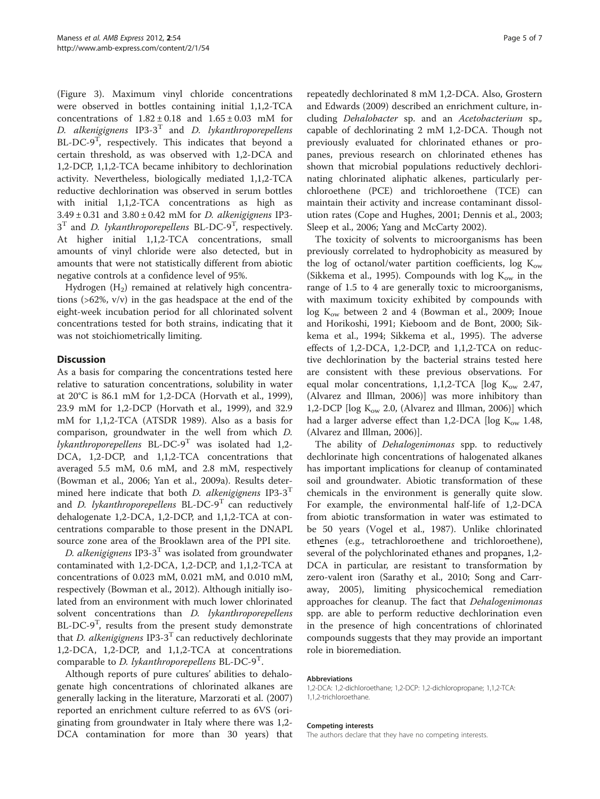(Figure [3](#page-3-0)). Maximum vinyl chloride concentrations were observed in bottles containing initial 1,1,2-TCA concentrations of  $1.82 \pm 0.18$  and  $1.65 \pm 0.03$  mM for D. alkenigignens  $IP3-3^T$  and D. lykanthroporepellens BL-DC-9<sup>T</sup>, respectively. This indicates that beyond a certain threshold, as was observed with 1,2-DCA and 1,2-DCP, 1,1,2-TCA became inhibitory to dechlorination activity. Nevertheless, biologically mediated 1,1,2-TCA reductive dechlorination was observed in serum bottles with initial 1,1,2-TCA concentrations as high as  $3.49 \pm 0.31$  and  $3.80 \pm 0.42$  mM for *D. alkenigignens* IP3- $3<sup>T</sup>$  and *D. lykanthroporepellens* BL-DC-9<sup>T</sup>, respectively. At higher initial 1,1,2-TCA concentrations, small amounts of vinyl chloride were also detected, but in amounts that were not statistically different from abiotic negative controls at a confidence level of 95%.

Hydrogen  $(H_2)$  remained at relatively high concentrations (>62%, v/v) in the gas headspace at the end of the eight-week incubation period for all chlorinated solvent concentrations tested for both strains, indicating that it was not stoichiometrically limiting.

## **Discussion**

As a basis for comparing the concentrations tested here relative to saturation concentrations, solubility in water at 20°C is 86.1 mM for 1,2-DCA ([Horvath et al., 1999](#page-5-0)), 23.9 mM for 1,2-DCP ([Horvath et al., 1999](#page-5-0)), and 32.9 mM for 1,1,2-TCA (ATSDR [1989\)](#page-5-0). Also as a basis for comparison, groundwater in the well from which D. lykanthroporepellens  $BL-DC-9^T$  was isolated had 1,2-DCA, 1,2-DCP, and 1,1,2-TCA concentrations that averaged 5.5 mM, 0.6 mM, and 2.8 mM, respectively ([Bowman et al., 2006;](#page-5-0) [Yan et al., 2009a](#page-6-0)). Results determined here indicate that both *D. alkenigignens* IP3-3<sup>T</sup> and *D. lykanthroporepellens* BL-DC-9<sup>T</sup> can reductively dehalogenate 1,2-DCA, 1,2-DCP, and 1,1,2-TCA at concentrations comparable to those present in the DNAPL source zone area of the Brooklawn area of the PPI site.

D. alkenigignens IP3-3<sup>T</sup> was isolated from groundwater contaminated with 1,2-DCA, 1,2-DCP, and 1,1,2-TCA at concentrations of 0.023 mM, 0.021 mM, and 0.010 mM, respectively [\(Bowman et al., 2012](#page-5-0)). Although initially isolated from an environment with much lower chlorinated solvent concentrations than *D. lykanthroporepellens* BL-DC-9<sup>T</sup>, results from the present study demonstrate that *D. alkenigignens* IP3-3<sup>T</sup> can reductively dechlorinate 1,2-DCA, 1,2-DCP, and 1,1,2-TCA at concentrations comparable to *D. lykanthroporepellens* BL-DC-9<sup>1</sup>.

Although reports of pure cultures' abilities to dehalogenate high concentrations of chlorinated alkanes are generally lacking in the literature, Marzorati et al. ([2007](#page-5-0)) reported an enrichment culture referred to as 6VS (originating from groundwater in Italy where there was 1,2- DCA contamination for more than 30 years) that repeatedly dechlorinated 8 mM 1,2-DCA. Also, Grostern and Edwards [\(2009\)](#page-5-0) described an enrichment culture, including Dehalobacter sp. and an Acetobacterium sp., capable of dechlorinating 2 mM 1,2-DCA. Though not previously evaluated for chlorinated ethanes or propanes, previous research on chlorinated ethenes has shown that microbial populations reductively dechlorinating chlorinated aliphatic alkenes, particularly perchloroethene (PCE) and trichloroethene (TCE) can maintain their activity and increase contaminant dissolution rates [\(Cope and Hughes, 2001](#page-5-0); [Dennis et al., 2003](#page-5-0); [Sleep et al., 2006;](#page-5-0) [Yang and McCarty 2002\)](#page-6-0).

The toxicity of solvents to microorganisms has been previously correlated to hydrophobicity as measured by the log of octanol/water partition coefficients, log  $K_{ow}$ ([Sikkema et al., 1995\)](#page-5-0). Compounds with log  $K_{ow}$  in the range of 1.5 to 4 are generally toxic to microorganisms, with maximum toxicity exhibited by compounds with  $log K<sub>ow</sub>$  between 2 and 4 ([Bowman et al., 2009](#page-5-0); [Inoue](#page-5-0) [and Horikoshi, 1991](#page-5-0); [Kieboom and de Bont, 2000](#page-5-0); [Sik](#page-5-0)[kema et al., 1994; Sikkema et al., 1995](#page-5-0)). The adverse effects of 1,2-DCA, 1,2-DCP, and 1,1,2-TCA on reductive dechlorination by the bacterial strains tested here are consistent with these previous observations. For equal molar concentrations, 1,1,2-TCA [log  $K_{ow}$  2.47, ([Alvarez and Illman, 2006](#page-5-0))] was more inhibitory than 1,2-DCP [ $log K_{ow}$  2.0, ([Alvarez and Illman, 2006\)](#page-5-0)] which had a larger adverse effect than 1,2-DCA [ $log K_{ow}$  1.48, ([Alvarez and Illman, 2006\)](#page-5-0)].

The ability of *Dehalogenimonas* spp. to reductively dechlorinate high concentrations of halogenated alkanes has important implications for cleanup of contaminated soil and groundwater. Abiotic transformation of these chemicals in the environment is generally quite slow. For example, the environmental half-life of 1,2-DCA from abiotic transformation in water was estimated to be 50 years ([Vogel et al., 1987](#page-6-0)). Unlike chlorinated ethenes (e.g., tetrachloroethene and trichloroethene), several of the polychlorinated ethanes and propanes, 1,2- DCA in particular, are resistant to transformation by zero-valent iron [\(Sarathy et al., 2010](#page-5-0); [Song and Carr](#page-5-0)[away, 2005](#page-5-0)), limiting physicochemical remediation approaches for cleanup. The fact that *Dehalogenimonas* spp. are able to perform reductive dechlorination even in the presence of high concentrations of chlorinated compounds suggests that they may provide an important role in bioremediation.

## Abbreviations

1,2-DCA: 1,2-dichloroethane; 1,2-DCP: 1,2-dichloropropane; 1,1,2-TCA: 1,1,2-trichloroethane.

#### Competing interests

The authors declare that they have no competing interests.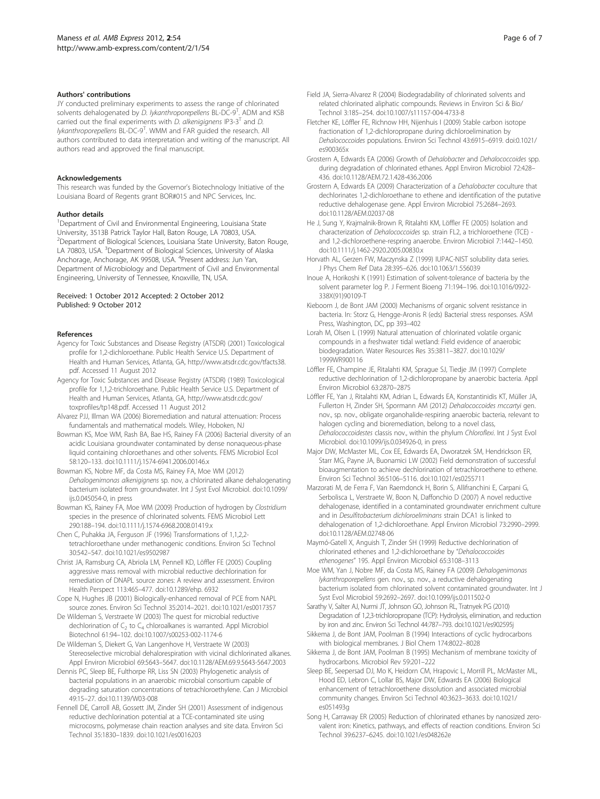#### <span id="page-5-0"></span>Authors' contributions

JY conducted preliminary experiments to assess the range of chlorinated solvents dehalogenated by *D. lykanthroporepellens* BL-DC-9<sup>T</sup>. ADM and KSB carried out the final experiments with *D. alkenigignens* IP3-3<sup>T</sup> and *D.* lykanthroporepellens BL-DC-9<sup>T</sup>. WMM and FAR guided the research. All authors contributed to data interpretation and writing of the manuscript. All authors read and approved the final manuscript.

## Acknowledgements

This research was funded by the Governor's Biotechnology Initiative of the Louisiana Board of Regents grant BOR#015 and NPC Services, Inc.

#### Author details

<sup>1</sup>Department of Civil and Environmental Engineering, Louisiana State University, 3513B Patrick Taylor Hall, Baton Rouge, LA 70803, USA. <sup>2</sup>Department of Biological Sciences, Louisiana State University, Baton Rouge, LA 70803, USA. <sup>3</sup>Department of Biological Sciences, University of Alaska Anchorage, Anchorage, AK 99508, USA. <sup>4</sup>Present address: Jun Yan, Department of Microbiology and Department of Civil and Environmental Engineering, University of Tennessee, Knoxville, TN, USA.

#### Received: 1 October 2012 Accepted: 2 October 2012 Published: 9 October 2012

#### References

- Agency for Toxic Substances and Disease Registry (ATSDR) (2001) Toxicological profile for 1,2-dichloroethane. Public Health Service U.S. Department of Health and Human Services, Atlanta, GA, [http://www.atsdr.cdc.gov/tfacts38.](http://www.atsdr.cdc.gov/tfacts38.pdf) [pdf](http://www.atsdr.cdc.gov/tfacts38.pdf). Accessed 11 August 2012
- Agency for Toxic Substances and Disease Registry (ATSDR) (1989) Toxicological profile for 1,1,2-trichloroethane. Public Health Service U.S. Department of Health and Human Services, Atlanta, GA, [http://www.atsdr.cdc.gov/](http://www.atsdr.cdc.gov/toxprofiles/tp148.pdf) [toxprofiles/tp148.pdf.](http://www.atsdr.cdc.gov/toxprofiles/tp148.pdf) Accessed 11 August 2012
- Alvarez PJJ, Illman WA (2006) Bioremediation and natural attenuation: Process fundamentals and mathematical models. Wiley, Hoboken, NJ
- Bowman KS, Moe WM, Rash BA, Bae HS, Rainey FA (2006) Bacterial diversity of an acidic Louisiana groundwater contaminated by dense nonaqueous-phase liquid containing chloroethanes and other solvents. FEMS Microbiol Ecol 58:120–133. doi[:10.1111/j.1574-6941.2006.00146.x](http://dx.doi.org/10.1111/j.1574-6941.2006.00146.x)
- Bowman KS, Nobre MF, da Costa MS, Rainey FA, Moe WM (2012) Dehalogenimonas alkenigignens sp. nov, a chlorinated alkane dehalogenating bacterium isolated from groundwater. Int J Syst Evol Microbiol. doi[:10.1099/](http://dx.doi.org/10.1099/ijs.0.045054-0) [ijs.0.045054-0](http://dx.doi.org/10.1099/ijs.0.045054-0), in press
- Bowman KS, Rainey FA, Moe WM (2009) Production of hydrogen by Clostridium species in the presence of chlorinated solvents. FEMS Microbiol Lett 290:188–194. doi:[10.1111/j.1574-6968.2008.01419.x](http://dx.doi.org/10.1111/j.1574-6968.2008.01419.x)
- Chen C, Puhakka JA, Ferguson JF (1996) Transformations of 1,1,2,2 tetrachloroethane under methanogenic conditions. Environ Sci Technol 30:542–547. doi[:10.1021/es9502987](http://dx.doi.org/10.1021/es9502987)
- Christ JA, Ramsburg CA, Abriola LM, Pennell KD, Löffler FE (2005) Coupling aggressive mass removal with microbial reductive dechlorination for remediation of DNAPL source zones: A review and assessment. Environ Health Perspect 113:465–477. doi:[10.1289/ehp. 6932](http://dx.doi.org/10.1289/ehp. 6932)
- Cope N, Hughes JB (2001) Biologically-enhanced removal of PCE from NAPL source zones. Environ Sci Technol 35:2014–2021. doi[:10.1021/es0017357](http://dx.doi.org/10.1021/es0017357)
- De Wildeman S, Verstraete W (2003) The quest for microbial reductive dechlorination of  $C_2$  to  $C_4$  chloroalkanes is warranted. Appl Microbiol Biotechnol 61:94–102. doi[:10.1007/s00253-002-1174-6](http://dx.doi.org/10.1007/s00253-002-1174-6)
- De Wildeman S, Diekert G, Van Langenhove H, Verstraete W (2003) Stereoselective microbial dehalorespiration with vicinal dichlorinated alkanes. Appl Environ Microbiol 69:5643–5647. doi:[10.1128/AEM.69.9.5643-5647.2003](http://dx.doi.org/10.1128/AEM.69.9.5643-5647.2003)
- Dennis PC, Sleep BE, Fulthorpe RR, Liss SN (2003) Phylogenetic analysis of bacterial populations in an anaerobic microbial consortium capable of degrading saturation concentrations of tetrachloroethylene. Can J Microbiol 49:15–27. doi:[10.1139/W03-008](http://dx.doi.org/10.1139/W03-008)
- Fennell DE, Carroll AB, Gossett JM, Zinder SH (2001) Assessment of indigenous reductive dechlorination potential at a TCE-contaminated site using microcosms, polymerase chain reaction analyses and site data. Environ Sci Technol 35:1830–1839. doi:[10.1021/es0016203](http://dx.doi.org/10.1021/es0016203)
- Field JA, Sierra-Alvarez R (2004) Biodegradability of chlorinated solvents and related chlorinated aliphatic compounds. Reviews in Environ Sci & Bio/ Technol 3:185–254. doi:[10.1007/s11157-004-4733-8](http://dx.doi.org/10.1007/s11157-004-4733-8)
- Fletcher KE, Löffler FE, Richnow HH, Nijenhuis I (2009) Stable carbon isotope fractionation of 1,2-dichloropropane during dichloroelimination by Dehalococcoides populations. Environ Sci Technol 43:6915–6919. doi[:0.1021/](http://dx.doi.org/0.1021/es900365x) [es900365x](http://dx.doi.org/0.1021/es900365x)
- Grostern A, Edwards EA (2006) Growth of Dehalobacter and Dehalococcoides spp. during degradation of chlorinated ethanes. Appl Environ Microbiol 72:428– 436. doi:[10.1128/AEM.72.1.428-436.2006](http://dx.doi.org/10.1128/AEM.72.1.428-436.2006)
- Grostern A, Edwards EA (2009) Characterization of a Dehalobacter coculture that dechlorinates 1,2-dichloroethane to ethene and identification of the putative reductive dehalogenase gene. Appl Environ Microbiol 75:2684–2693. doi[:10.1128/AEM.02037-08](http://dx.doi.org/10.1128/AEM.02037-08)
- He J, Sung Y, Krajmalnik-Brown R, Ritalahti KM, Löffler FE (2005) Isolation and characterization of Dehalococcoides sp. strain FL2, a trichloroethene (TCE) and 1,2-dichloroethene-respring anaerobe. Environ Microbiol 7:1442–1450. doi[:10.1111/j.1462-2920.2005.00830.x](http://dx.doi.org/10.1111/j.1462-2920.2005.00830.x)
- Horvath AL, Gerzen FW, Maczynska Z (1999) IUPAC-NIST solubility data series. J Phys Chem Ref Data 28:395–626. doi:[10.1063/1.556039](http://dx.doi.org/10.1063/1.556039)
- Inoue A, Horikoshi K (1991) Estimation of solvent-tolerance of bacteria by the solvent parameter log P. J Ferment Bioeng 71:194–196. doi[:10.1016/0922-](http://dx.doi.org/10.1016/0922-338X(91)90109-T) [338X\(91\)90109-T](http://dx.doi.org/10.1016/0922-338X(91)90109-T)
- Kieboom J, de Bont JAM (2000) Mechanisms of organic solvent resistance in bacteria. In: Storz G, Hengge-Aronis R (eds) Bacterial stress responses. ASM Press, Washington, DC, pp 393–402
- Lorah M, Olsen L (1999) Natural attenuation of chlorinated volatile organic compounds in a freshwater tidal wetland: Field evidence of anaerobic biodegradation. Water Resources Res 35:3811–3827. doi[:10.1029/](http://dx.doi.org/10.1029/1999WR900116) [1999WR900116](http://dx.doi.org/10.1029/1999WR900116)
- Löffler FE, Champine JE, Ritalahti KM, Sprague SJ, Tiedje JM (1997) Complete reductive dechlorination of 1,2-dichloropropane by anaerobic bacteria. Appl Environ Microbiol 63:2870–2875
- Löffler FE, Yan J, Ritalahti KM, Adrian L, Edwards EA, Konstantinidis KT, Müller JA, Fullerton H, Zinder SH, Spormann AM (2012) Dehalococcoides mccartyi gen. nov., sp. nov., obligate organohalide-respiring anaerobic bacteria, relevant to halogen cycling and bioremediation, belong to a novel class, Dehalococcoidestes classis nov., within the phylum Chloroflexi. Int J Syst Evol Microbiol. doi:[10.1099/ijs.0.034926-0](http://dx.doi.org/10.1099/ijs.0.034926-0), in press
- Major DW, McMaster ML, Cox EE, Edwards EA, Dworatzek SM, Hendrickson ER, Starr MG, Payne JA, Buonamici LW (2002) Field demonstration of successful bioaugmentation to achieve dechlorination of tetrachloroethene to ethene. Environ Sci Technol 36:5106–5116. doi:[10.1021/es0255711](http://dx.doi.org/10.1021/es0255711)
- Marzorati M, de Ferra F, Van Raemdonck H, Borin S, Allifranchini E, Carpani G, Serbolisca L, Verstraete W, Boon N, Daffonchio D (2007) A novel reductive dehalogenase, identified in a contaminated groundwater enrichment culture and in Desulfitobacterium dichloroeliminans strain DCA1 is linked to dehalogenation of 1,2-dichloroethane. Appl Environ Microbiol 73:2990–2999. doi[:10.1128/AEM.02748-06](http://dx.doi.org/10.1128/AEM.02748-06)
- Maymó-Gatell X, Anguish T, Zinder SH (1999) Reductive dechlorination of chlorinated ethenes and 1,2-dichloroethane by "Dehalococcoides ethenogenes" 195. Appl Environ Microbiol 65:3108–3113
- Moe WM, Yan J, Nobre MF, da Costa MS, Rainey FA (2009) Dehalogenimonas lykanthroporepellens gen. nov., sp. nov., a reductive dehalogenating bacterium isolated from chlorinated solvent contaminated groundwater. Int J Syst Evol Microbiol 59:2692–2697. doi[:10.1099/ijs.0.011502-0](http://dx.doi.org/10.1099/ijs.0.011502-0)
- Sarathy V, Salter AJ, Nurmi JT, Johnson GO, Johnson RL, Tratnyek PG (2010) Degradation of 1,2,3-trichloropropane (TCP): Hydrolysis, elimination, and reduction by iron and zinc. Environ Sci Technol 44:787-793. doi:10.1021/es902595
- Sikkema J, de Bont JAM, Poolman B (1994) Interactions of cyclic hydrocarbons with biological membranes. J Biol Chem 174:8022–8028
- Sikkema J, de Bont JAM, Poolman B (1995) Mechanism of membrane toxicity of hydrocarbons. Microbiol Rev 59:201–222
- Sleep BE, Seepersad DJ, Mo K, Heidorn CM, Hrapovic L, Morrill PL, McMaster ML, Hood ED, Lebron C, Lollar BS, Major DW, Edwards EA (2006) Biological enhancement of tetrachloroethene dissolution and associated microbial community changes. Environ Sci Technol 40:3623–3633. doi[:10.1021/](http://dx.doi.org/10.1021/es051493g) [es051493g](http://dx.doi.org/10.1021/es051493g)
- Song H, Carraway ER (2005) Reduction of chlorinated ethanes by nanosized zerovalent iron: Kinetics, pathways, and effects of reaction conditions. Environ Sci Technol 39:6237–6245. doi[:10.1021/es048262e](http://dx.doi.org/10.1021/es048262e)